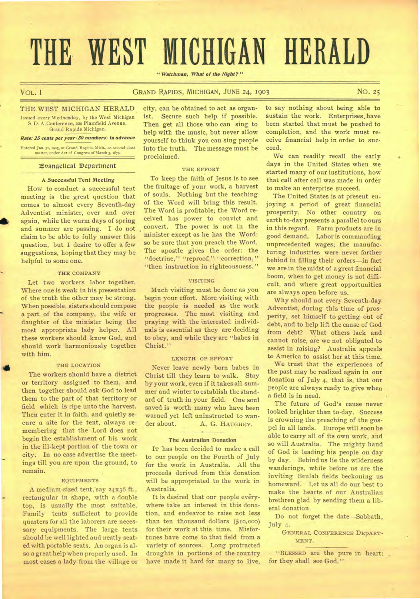# **THE WEST MICHIGAN HERALD**

*"Watchman, What of the Night?"* 

#### VOL. I GRAND RAPIDS, MICHIGAN, JUNE 24, 1903 NO. 25

THE WEST MICHIGAN HERALD Issued every Wednesday, by the West Michigan

S. D. A. Conference, 22o Plainfield Avenue, Grand Rapids Michigan.

#### *Rate: 25 cents per year (50 numbers) in advance*

Entered Jan. 31, 1903, at Grand Rapids, Mich., as second-class matter, under Act of Congress of March 3, 1879.

#### Xvangeltcal Department

#### **A Successful Tent Meeting**

How to conduct a successful tent meeting is the great question that comes to almost every Seventh-day Adventist minister, over and over again, while the warm days of spring and summer are passing. I do not claim to be able to fully answer this question, but I desire to offer a few suggestions, hoping that they may be helpful to some one.

#### THE COMPANY

Let two workers labor together. Where one is weak in his presentation of the truth the other may be strong. When possible, sisters should compose a part of the company, the wife or daughter of the minister being the most appropriate lady helper. All these workers should know God, and should work harmoniously together with him.

#### THE LOCATION

The workers should have a district or territory assigned to them, and then together should ask God to lead them to the part of that territory or field which is ripe unto the harvest. Then enter it in faith, and quietly secure a site for the tent, always remembering that the Lord does not begin the establishment of his work in the ill-kept portion of the town or city. In no case advertise the meetings till you are upon the ground, to remain.

#### EQUIPMENTS

A medium-sized tent, say 24x36 ft., rectangular in shape, with a double top, is usually the most suitable. Family tents sufficient to provide quarters for all the laborers are necessary equipments. The large tents should be well lighted and neatly seated with portable seats. An organ is also a great help when properly used. In most cases a lady from the village or city, can be obtained to act as organist. Secure such help if possible. Then get all those who can sing to help with the music, but never allow yourself to think you can sing people into the truth. The message must be proclaimed.

#### THE EFFORT

To keep the faith of Jesus is to see the fruitage of your work, a harvest of souls. Nothing but the teaching of the Word will bring this result. The Word is profitable; the Word received has power to convict and convert. The power is not in the minister except as he has the Word; so be sure that you preach the Word. The apostle gives the order: the "doctrine," "reproof," "correction," "then instruction in righteousness."

#### VISITING

Much visiting must be done as you begin your effort. More visiting with the people is needed as the work progresses. The most visiting and praying with the interested individuals is essential as they are deciding to obey, and while they are "babes in Christ. "

#### LENGTH OF EFFORT

Never leave newly born babes in Christ till they learn to walk. Stay by your work, even if it takes all summer and winter to establish the standard of truth in your field. One soul saved is worth many who have been warned yet left uninstructed to wander about. A. G. HAUGHEY.

#### **The Australian Donation**

IT has been decided to make a call to our people on the Fourth of July for the work in Australia. All the proceeds derived from this donation will be appropriated to the work in Australia.

It is desired that our people everywhere take an interest in this donation, and endeavor to raise not less than ten thousand dollars (\$10,000) for their work at this time. Misfortunes have come to that field from a variety of sources. Long protracted droughts in portions of the country have made it hard for many to live,

to say nothing about being able to sustain the work. Enterprises, have been started that must be pushed to completion, and the work must receive financial help in order to succeed.

We can readily recall the early days in the United States when we started many of our institutions, how that call after call was made in order to make an enterprise succeed.

The United States is at present enjoying a period of great financial prosperity. No other country on earth to-day presents a parallel to ours in this regard. Farm products are in good demand. Labor is commanding unprecedented wages; the manufacturing industries were never farther behind in filling their orders—in fact we are in the midst of a great financial boom, when to get money is not difficult, and where great opportunities are always open before us.

Why should not every Seventh-day Adventist, during this time of prosperity, set himself to getting out of debt, and to help lift the cause of God from debt? What others lack and cannot raise, are we not obligated to assist in raising? Australia appeals to America to assist her at this time.

We trust that the experiences of the past may be realized again in our donation of July 4, that is, that our people are always ready to give when a field is in need.

The future of God's cause never looked brighter than to-day. Success is crowning the preaching of the gospel in all lands. Europe will soon be able to carry all of its own work, and so will Australia. The mighty hand of God is leading his people on day by day. Behind us lie the wilderness wanderings, while before us are the inviting Beulah fields beckoning us homeward. Let us all do our best to make the hearts of our Australian brethren glad by sending them a liberal donation.

Do not forget the date—Sabbath, July 4.

GENERAL CONFERENCE DEpART-MENT.

"BLESSED are the pure in heart: \_ for they shall see God."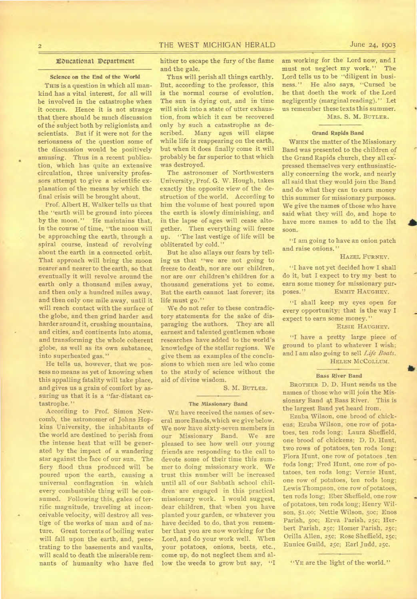## THE WEST MICHIGAN HERALD June 24, 1903

#### Ebucattonal Department

#### **Science on the End of the World**

**THIS is a question** in which all mankind has a vital interest, for all will be involved in the catastrophe when it occurs. Hence it is not strange that there should be much discussion of the subject both by religionists and scientists. But if it were not for the seriousness of the question some of the discussion would be positively amusing. Thus in a recent publication, which has quite an extensive circulation, three university professors attempt to give a scientific explanation of the means by which the final crisis will be brought about.

Prof. Albert H. Walker tells us that the "earth will be ground into pieces by the moon." He maintains that, in the course of time, "the moon will be approaching the earth, through a spiral course, instead of revolving about the earth in a connected orbit. That approach will bring the moon nearer and nearer to the earth, so that eventually it will revolve around the earth only a thousand miles away, and then only a hundred miles away, and then only one mile away, until it will reach contact with the surface of the globe, and then grind harder and harder around it, crushing mountains, and cities, and continents into atoms, and transforming the whole coherent globe, as well as its own substance, into superheated gas."

He tells us, however, that we possess no means as yet of knowing when this appalling fatality will take place, and gives us a grain of comfort by assuring us that it is a "far-distant catastrophe. "

According to Prof. Simon Newcomb, the astronomer of Johns Hopkins University, the inhabitants of the world are destined to perish from the intense heat that will be generated by the impact of a wandering star against the face of our sun. The fiery flood thus produced will be poured upon the earth, causing a universal conflagration in which every combustible thing will be consumed. Following this, gales of terrific magnitude, traveling at incon- • ceivable velocity, will destroy all vestige of the works of man and of nature. Great torrents of boiling water will fall upon the earth, and, penetrating to the basements and vaults, will scald to death the miserable remnants of humanity who have fled hither to escape the fury of the flame and the gale.

Thus will perish all things earthly. But, according to the professor, this is the normal course of evolution. The sun is dying out, and in time will sink into a state of utter exhaustion, from which it can be recovered only by such a catastrophe as described. Many ages will elapse while life is reappearing on the earth, but when it does finally come it will probably be far superior to that which was destroyed.

The astronomer of Northwestern University, Prof. G. W. Hough, takes exactly the opposite view of the destruction of the world. According to him the volume of heat poured upon the earth is slowly diminishing, and in the lapse of ages will cease altogether. Then everything will freeze up. "The last vestige of life will be obliterated by cold."

But he also allays our fears by telling us that "we are not going to freeze to death, nor are our children, nor are our children's children for a thousand generations yet to come. But the earth cannot last forever; its life must go."

We do not refer to these contradictory statements for the sake of disparaging the authors. They are all earnest and talented gentlemen whose researches have added to the world's knowledge of the stellar regions. We give them as examples of the conclusions to which men are led who come to the study of science without the aid of divine wisdom.

S. M. BUTLER.

#### **The Missionary Band**

WE have received the names of several more Bands, which we give below. We now have sixty-seven members in our Missionary Band. We are pleased to see how well our young friends are responding to the call to devote some of their time this summer to doing missionary work. We trust this number will be increased until all of our Sabbath school children are engaged in this practical missionary work. I would suggest, dear children, that when you have planted your garden, or whatever you have decided to do, that you remember that you are now working for the Lord, and do your work well. When your potatoes, onions, beets, etc., come up, do not neglect them and allow the weeds to grow but say, "I am working for the Lord now, and I must not neglect my work." The Lord tells us to be "diligent in business." He also says, "Cursed be He also says, "Cursed be he that doeth the work of the Lord negligently (marginal reading). " Let us remember these texts this summer. MRS. S. M. BUTLER.

## **Grand Rapids Band**

WHEN the matter of the Missionary Band was presented to the children of the Grand Rapids church, they all expressed themselves very enthusiastically concerning the work, and nearly all said that they would join the Band and do what they can to earn money this summer for missionary purposes. We give the names of those who have said what they will do, and hope to have more names to add to the list soon.

"I am going to have an onion patch and raise onions."

#### HAZEL FURNEY.

"I have not yet decided how I shall do it, but I expect to try my best to earn some money for missionary purposes." EMMIT HAUGHEY.

"I shall keep my eyes open for every opportunity; that is the way I expect to earn some money. "

ELSIE HAUGHEY.

"I have a pretty large piece of ground to plant to whatever I wish; and I am also going to sell *Life Boats.*  HELEN McCoLLum.

#### **Bass River Band**

BROTHER D. D. Hunt sends us the names of those who will join the Missionary Band 4t Bass River. This is the largest Band yet heard from.

Ezuba Wilson, one brood of chickens; Ezuba Wilson, one row of potatoes, ten rods long; Laura Sheffield, one brood of chickens; D. D. Hunt, two rows of potatoes, ten rods long; Flora Hunt, one row of potatoes ,ten rods long; Fred Hunt, one row of potatoes, ten rods long; Vernie Hunt, one row of potatoes, ten rods long; Lewis Thompson, one row of potatoes, ten rods long; Eber Sheffield, one row of potatoes, ten rods long; Henry Wilson, \$1.00; Nettie Wilson, 5oc; Enos Parish, 5oc; Erva Parish, 25c; Herbert Parish, 25c; Homer Parish, 25c; Orilla Allen, 25c; Rose Sheffield, 25C; Eunice Guild, 25c; Earl Judd, 25c.

"YE are the light of the world."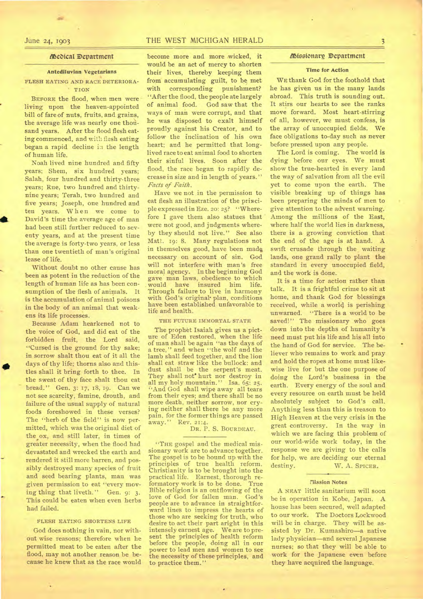#### 11SeDical Department

#### Antediluvian Vegetarians

FLESH EATING AND RACE DETERIORA- ' TION

BEFORE the flood, when men were living upon the heaven-appointed bill of fare of nuts, fruits, and grains, the average life was nearly one thousand years. After the flood flesh eating commenced, and with flesh eating began a rapid decline in the length of human life.

Noah lived nine hundred and fifty years; Shem, six hundred years; Salah, four hundred and thirty-three years; Rue, two hundred and thirtynine years; Terah, two hundred and five years; Joseph, one hundred and ten years. When we come to David's time the average age of man had been still further reduced to seventy years, and at the present time the average is forty-two years, or less than one twentieth of man's original lease of life.

Without doubt no other cause has been as potent in the reduction of the length of human life as has been consumption of the flesh of animals. It is the accumulation of animal poisons in the body of an animal that weakens its life processes.

Because Adam hearkened not to the voice of God, and did eat of the forbidden fruit, the Lord said, "Cursed is the ground for thy sake; in sorrow shalt thou eat of it all the days of thy life; thorns also and thistles shall it bring forth to thee. In the sweat of thy face shalt thou eat bread. " Gen. 3: 17, 18, 19. Can we not see scarcity, famine, drouth, and failure of the usual supply of natural foods foreshowed in these verses? The "herb of the field" is now permitted, which was the original diet of the ox, and still later, in times of greater necessity, when the flood had devastated and wrecked the earth and rendered it still more barren, and possibly destroyed many species of fruit and seed bearing plants, man was given permission to eat "every moving thing that liveth." Gen. 9: 3. This could be eaten when even herbs had failed.

#### FLESH EATING SHORTENS LIFE

God does nothing in vain, nor without wise reasons; therefore when he permitted meat to be eaten after the flood, may not another reason be because he knew that as the race would

### June 24, 1903 THE WEST MICHIGAN HERALD 3

become more and more wicked, it would be an act of mercy to shorten their lives, thereby keeping them from accumulating guilt, to be met with corresponding punishment? "After the flood, the people ate largely of animal food. God saw that the ways of man were corrupt, and that he was disposed to exalt himself proudly against his Creator, and to follow the inclination of his own heart; and he permitted that longlived race to eat animal food to shorten their sinful lives. Soon after the flood, the race began to rapidly decrease in size and in length of years." *Facts of Faith.* 

Have we not in the permission to eat flesh an illustration of the principle expressed in Eze. 20: 25? "Wherefore I gave them also statues that were not good, and judgments whereby they should not live." See also Matt. 19: 8. Many regulations not in themselves good, have been made necessary on account of sin. God will not interfere with man's free moral agency. In the beginning God gave man laws, obedience to which would have insured him life. would have insured him life.<br>Through-failure-to-live in-harmony with God's original• plan, conditions have been established unfavorable to life and health.

#### THE FUTURE IMMORTAL STATE

The prophet Isaiah gives us a picture of Eden restored, when the life of man shall be again "as the days of a tree, " and when "the wolf and the lamb shall feed together, and the lion shall eat straw like the bullock: and dust shall be the serpent's meat. They shall not' hurt nor destroy in all my holy mountain." Isa. 65: 25. "And God shall wipe away all tears from their eyes; and there shall be no more death, neither sorrow, nor crying neither shall there be any more pain, for the former things are passed<br>away." Rev. 21:4. away." Rev. 21:4.

DR. P. S. BOURDEAU.

"THE gospel and the medical missionary work are to advance together. The gospel is to be hound up with the principles of true health reform. Christianity is to be brought into the practical life. Earnest, thorough reformatory work is to be done. True Bible religion is an outflowing of the love of God for fallen man. people are to advance in straightforward lines to impress the hearts of those who are seeking for truth, who desire to act their part aright in this intensely earnest age. We are to present the principles of health reform before the people, doing all in our power to lead men and women to see the necessity of these principles, and to practice them."

#### /11Stesionarp Department

#### Time for Action

WE thank God for the foothold that he has given us in the many lands abroad. This truth is sounding out. It stirs our hearts to see the ranks move forward. Most heart-stirring of all, however, we must confess, is the array of unoccupied fields. We face obligations to-day such as never before pressed upon any people.

The Lord is coming. The world is dying before our eyes. We must show the true-hearted in every land the way of salvation from all the evil yet to come upon the earth. The visible breaking up of things has been preparing the minds of men to give attention to the advent warning. Among the millions of the East, where half the world lies in darkness, there is a growing conviction that the end of the age is at hand. A swift crusade through the waiting lands, one grand rally to plant the standard in every unoccupied field, and the work is done.

It is a time for action rather than talk. It is a frightful crime to sit at home, and thank God for blessings received, while a world is perishing unwarned. "There is a world to be saved!" The missionary who goes down into the depths of humanity's need must put his life and his all into the hand of God for service. The believer who remains to work and pray and hold the ropes at home must likewise live for but the one purpose of doing the Lord's business in the earth. Every energy of the soul and every resource on earth must be held absolutely subject to God's call. Anything less than this is treason to High Heaven at the very crisis in the great controversy. In the way in which we are facing this problem of our world-wide work today, in the response we are giving to the calls for help, we are deciding our eternal destiny. W. A. SPICER.

#### Mission Notes

A NEAT little sanitarium will soon be in operation in Kobe, Japan. A house has been secured, well adapted to our work. The Doctors Lockwood will be in charge. They will be assisted by Dr. Kumashiro—a native lady physician—and several Japanese nurses: so that they will be able to work for the Japanese even before they have acquired the language.